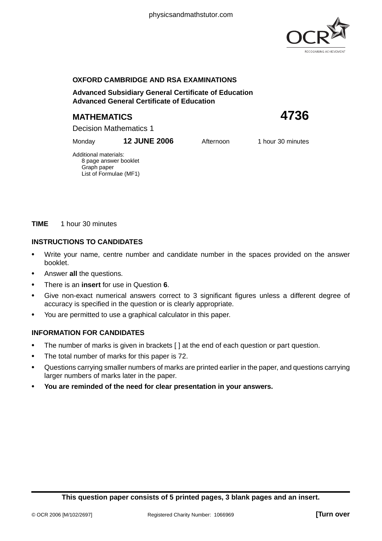

#### **OXFORD CAMBRIDGE AND RSA EXAMINATIONS**

**Advanced Subsidiary General Certificate of Education Advanced General Certificate of Education**

# **MATHEMATICS 4736**

Decision Mathematics 1

Additional materials: 8 page answer booklet Graph paper List of Formulae (MF1)

Monday **12 JUNE 2006** Afternoon 1 hour 30 minutes

**TIME** 1 hour 30 minutes

#### **INSTRUCTIONS TO CANDIDATES**

- **•** Write your name, centre number and candidate number in the spaces provided on the answer booklet.
- **•** Answer **all** the questions.
- **•** There is an **insert** for use in Question **6**.
- **•** Give non-exact numerical answers correct to 3 significant figures unless a different degree of accuracy is specified in the question or is clearly appropriate.
- **•** You are permitted to use a graphical calculator in this paper.

#### **INFORMATION FOR CANDIDATES**

- **•** The number of marks is given in brackets [ ] at the end of each question or part question.
- **•** The total number of marks for this paper is 72.
- **•** Questions carrying smaller numbers of marks are printed earlier in the paper, and questions carrying larger numbers of marks later in the paper.
- **• You are reminded of the need for clear presentation in your answers.**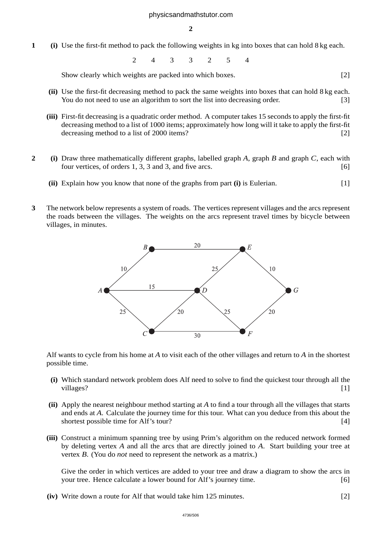**2**

**1 (i)** Use the first-fit method to pack the following weights in kg into boxes that can hold 8 kg each.

2433254

Show clearly which weights are packed into which boxes. [2]

- **(ii)** Use the first-fit decreasing method to pack the same weights into boxes that can hold 8 kg each. You do not need to use an algorithm to sort the list into decreasing order. [3]
- **(iii)** First-fit decreasing is a quadratic order method. A computer takes 15 seconds to apply the first-fit decreasing method to a list of 1000 items; approximately how long will it take to apply the first-fit decreasing method to a list of 2000 items? [2]
- **2 (i)** Draw three mathematically different graphs, labelled graph *A*, graph *B* and graph *C*, each with four vertices, of orders 1, 3, 3 and 3, and five arcs. [6]
	- **(ii)** Explain how you know that none of the graphs from part **(i)** is Eulerian. [1]
- **3** The network below represents a system of roads. The vertices represent villages and the arcs represent the roads between the villages. The weights on the arcs represent travel times by bicycle between villages, in minutes.



Alf wants to cycle from his home at *A* to visit each of the other villages and return to *A* in the shortest possible time.

- **(i)** Which standard network problem does Alf need to solve to find the quickest tour through all the villages? [1]
- **(ii)** Apply the nearest neighbour method starting at *A* to find a tour through all the villages that starts and ends at *A*. Calculate the journey time for this tour. What can you deduce from this about the shortest possible time for Alf's tour? [4]
- **(iii)** Construct a minimum spanning tree by using Prim's algorithm on the reduced network formed by deleting vertex *A* and all the arcs that are directly joined to *A*. Start building your tree at vertex *B*. (You do *not* need to represent the network as a matrix.)

Give the order in which vertices are added to your tree and draw a diagram to show the arcs in your tree. Hence calculate a lower bound for Alf's journey time. [6]

**(iv)** Write down a route for Alf that would take him 125 minutes. [2]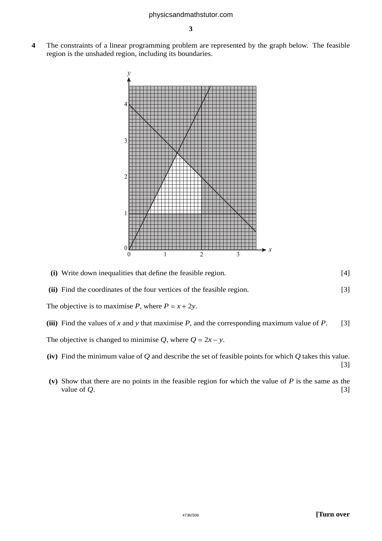**4** The constraints of a linear programming problem are represented by the graph below. The feasible region is the unshaded region, including its boundaries.



- **(i)** Write down inequalities that define the feasible region. [4]
- **(ii)** Find the coordinates of the four vertices of the feasible region. [3]

The objective is to maximise *P*, where  $P = x + 2y$ .

**(iii)** Find the values of *x* and *y* that maximise *P*, and the corresponding maximum value of *P*. [3]

The objective is changed to minimise *Q*, where  $Q = 2x - y$ .

- **(iv)** Find the minimum value of *Q* and describe the set of feasible points for which *Q* takes this value. [3]
- **(v)** Show that there are no points in the feasible region for which the value of *P* is the same as the value of  $Q$ . [3]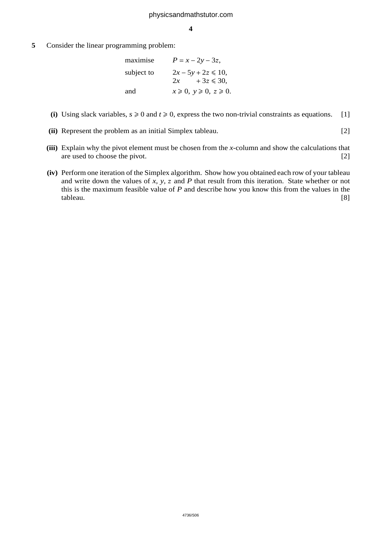**5** Consider the linear programming problem:

| maximise   | $P = x - 2y - 3z$ ,                 |
|------------|-------------------------------------|
| subject to | $2x - 5y + 2z \le 10$ ,             |
|            | $2x + 3z \le 30$ ,                  |
| and        | $x \ge 0$ , $y \ge 0$ , $z \ge 0$ . |

- (i) Using slack variables,  $s \ge 0$  and  $t \ge 0$ , express the two non-trivial constraints as equations. [1]
- **(ii)** Represent the problem as an initial Simplex tableau. [2]
- **(iii)** Explain why the pivot element must be chosen from the *x*-column and show the calculations that are used to choose the pivot. [2]
- **(iv)** Perform one iteration of the Simplex algorithm. Show how you obtained each row of your tableau and write down the values of  $x$ ,  $y$ ,  $z$  and  $P$  that result from this iteration. State whether or not this is the maximum feasible value of *P* and describe how you know this from the values in the tableau. [8]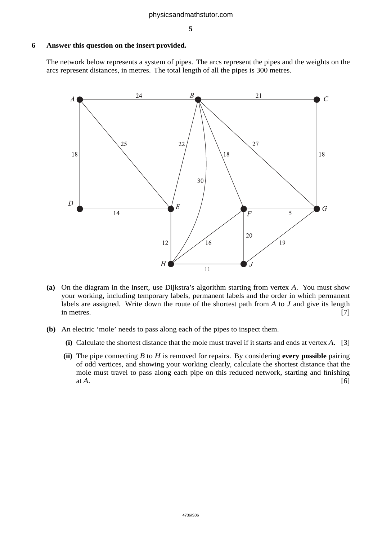**5**

#### **6 Answer this question on the insert provided.**

The network below represents a system of pipes. The arcs represent the pipes and the weights on the arcs represent distances, in metres. The total length of all the pipes is 300 metres.



- **(a)** On the diagram in the insert, use Dijkstra's algorithm starting from vertex *A*. You must show your working, including temporary labels, permanent labels and the order in which permanent labels are assigned. Write down the route of the shortest path from *A* to *J* and give its length in metres.  $[7]$
- **(b)** An electric 'mole' needs to pass along each of the pipes to inspect them.
	- **(i)** Calculate the shortest distance that the mole must travel if it starts and ends at vertex *A*. [3]
	- **(ii)** The pipe connecting *B* to *H* is removed for repairs. By considering **every possible** pairing of odd vertices, and showing your working clearly, calculate the shortest distance that the mole must travel to pass along each pipe on this reduced network, starting and finishing at  $A$ .  $[6]$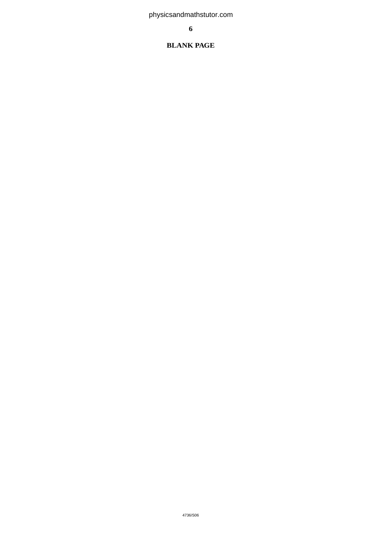#### **6**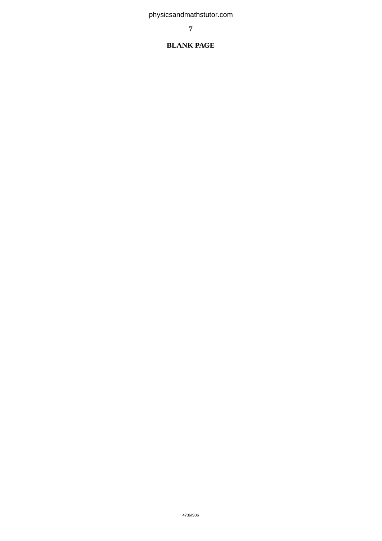#### **7**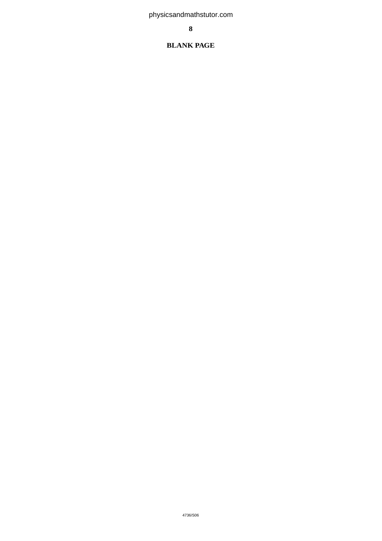#### **8**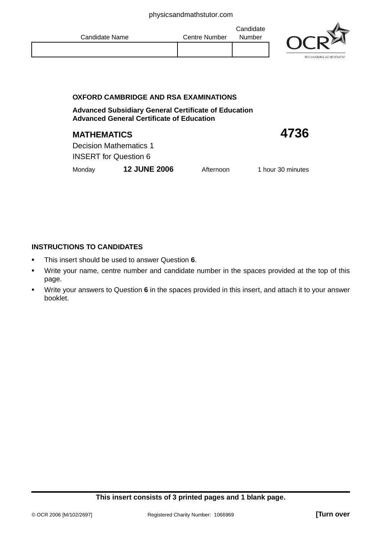| Candidate Name | <b>Centre Number</b> | Candidate<br>Number |                         |
|----------------|----------------------|---------------------|-------------------------|
|                |                      |                     | RECOGNISING ACHIEVEMENT |
|                |                      |                     |                         |

### **OXFORD CAMBRIDGE AND RSA EXAMINATIONS**

**Advanced Subsidiary General Certificate of Education Advanced General Certificate of Education**

# **MATHEMATICS 4736**

Decision Mathematics 1 INSERT for Question 6

Monday **12 JUNE 2006** Afternoon 1 hour 30 minutes

#### **INSTRUCTIONS TO CANDIDATES**

- **•** This insert should be used to answer Question **6**.
- **•** Write your name, centre number and candidate number in the spaces provided at the top of this page.
- **•** Write your answers to Question **6** in the spaces provided in this insert, and attach it to your answer booklet.

#### **This insert consists of 3 printed pages and 1 blank page.**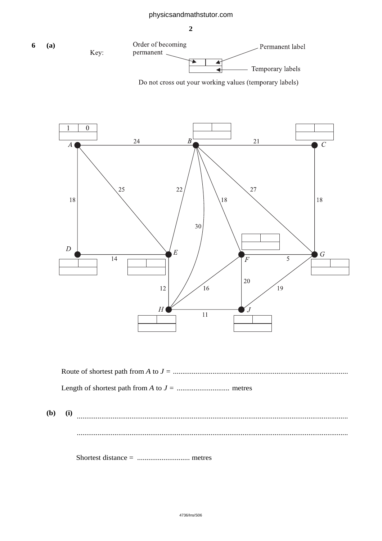$\overline{\mathbf{c}}$ 

```
6
(a)
```


Do not cross out your working values (temporary labels)



 $(b)$  $(i)$  $\overline{1}$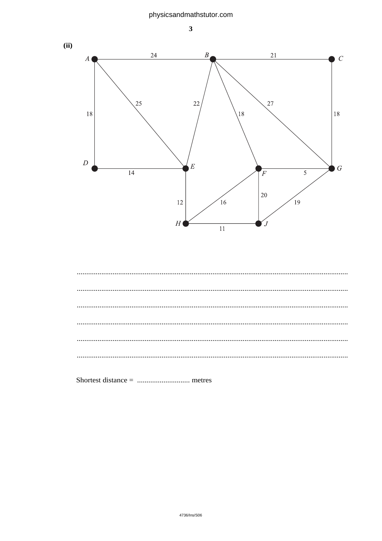